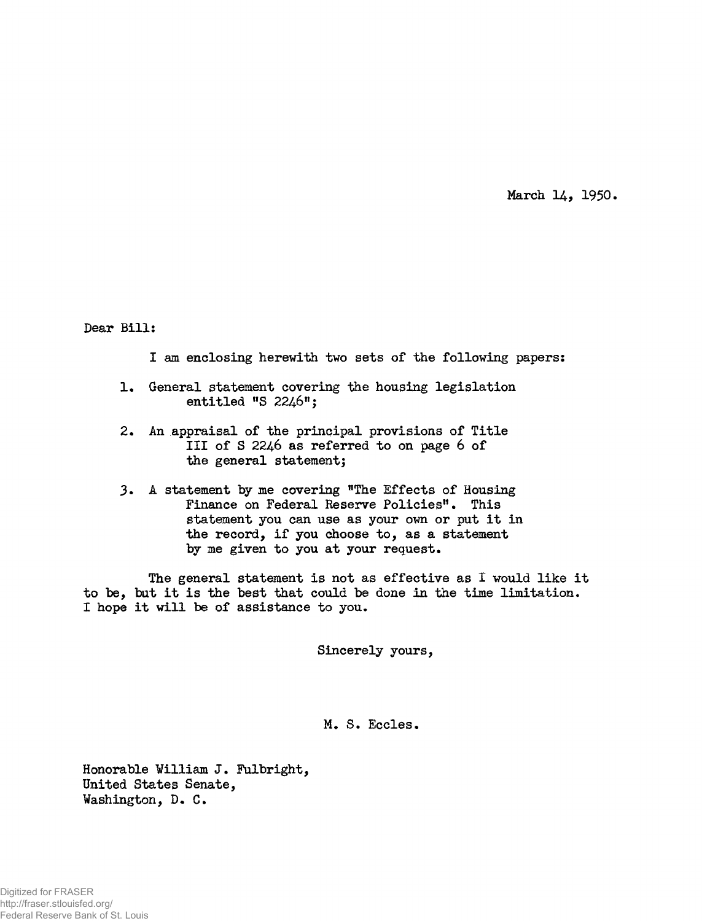March 14, 1950.

Dear Bill:

I am enclosing herewith two sets of the following papers:

- 1. General statement covering the housing legislation entitled "S  $2246$ ";
- 2. An appraisal of the principal provisions of Title III of  $S$  2246 as referred to on page 6 of the general statement;
- 3. A statement by me covering "The Effects of Housing Finance on Federal Reserve Policies". This statement you can use as your own or put it in the record, if you choose to, as a statement by me given to you at your request.

The general statement is not as effective as I would like it to be, but it is the best that could be done in the time limitation. I hope it will be of assistance to you.

Sincerely yours,

M. S. Eccles.

Honorable William J. Fulbright, United States Senate, Washington, D. C.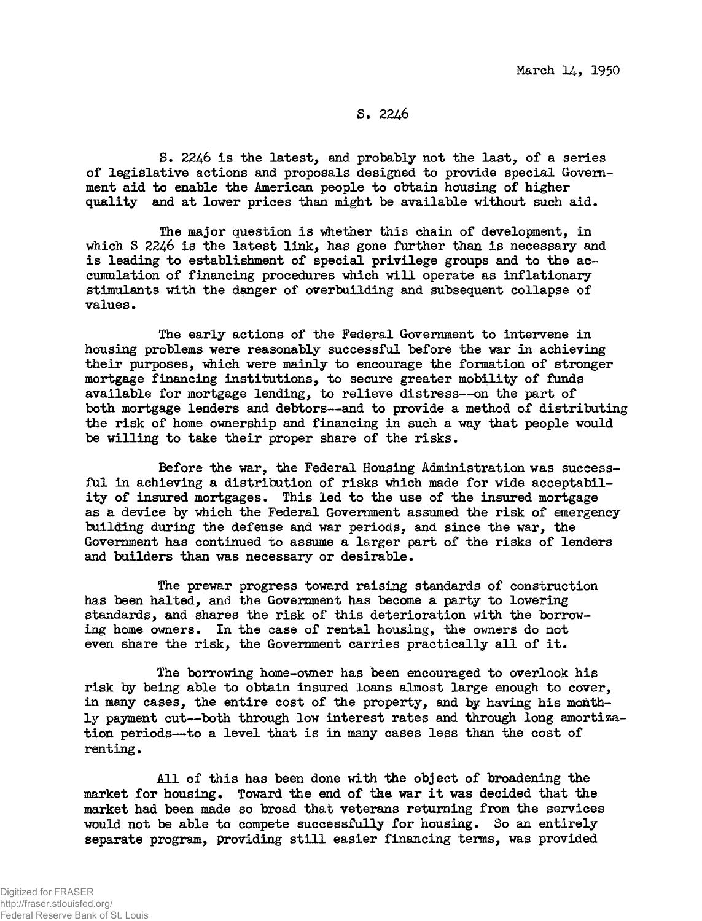S. 2246

S. 2246 is the latest, and probably not the last, of a series of legislative actions and proposals designed to provide special Government aid to enable the American people to obtain housing of higher quality and at lower prices than might be available without such aid.

The major question is whether this chain of development, in which S 2246 is the latest link, has gone further than is necessary and is leading to establishment of special privilege groups and to the accumulation of financing procedures which will operate as inflationary stimulants with the danger of overbuilding and subsequent collapse of values.

The early actions of the Federal Government to intervene in housing problems were reasonably successful before the war in achieving their purposes, which were mainly to encourage the formation of stronger mortgage financing institutions, to secure greater mobility of funds available for mortgage lending, to relieve distress—on the part of both mortgage lenders and debtors—and to provide a method of distributing the risk of home ownership and financing in such a way that people would be willing to take their proper share of the risks.

Before the war, the Federal Housing Administration was successful in achieving a distribution of risks which made for wide acceptability of insured mortgages. This led to the use of the insured mortgage as a device by vhich the Federal Government assumed the risk of emergency building during the defense and war periods, and since the war, the Government has continued to assume a larger part of the risks of lenders and builders than was necessary or desirable.

The prewar progress toward raising standards of construction has been halted, and the Government has become a party to lowering standards, and shares the risk of this deterioration with the borrowing home owners. In the case of rental housing, the owners do not even share the risk, the Government carries practically all of it.

The borrowing home-owner has been encouraged to overlook his risk by being able to obtain insured loans almost large enough to cover, in many cases, the entire cost of the property, and by having his monthly payment cut—both through low interest rates and through long amortization periods—to a level that is in many cases less than the cost of renting.

All of this has been done with the object of broadening the market for housing. Toward the end of the war it was decided that the market had been made so broad that veterans returning from the services would not be able to compete successfully for housing. So an entirely separate program, providing still easier financing terms, was provided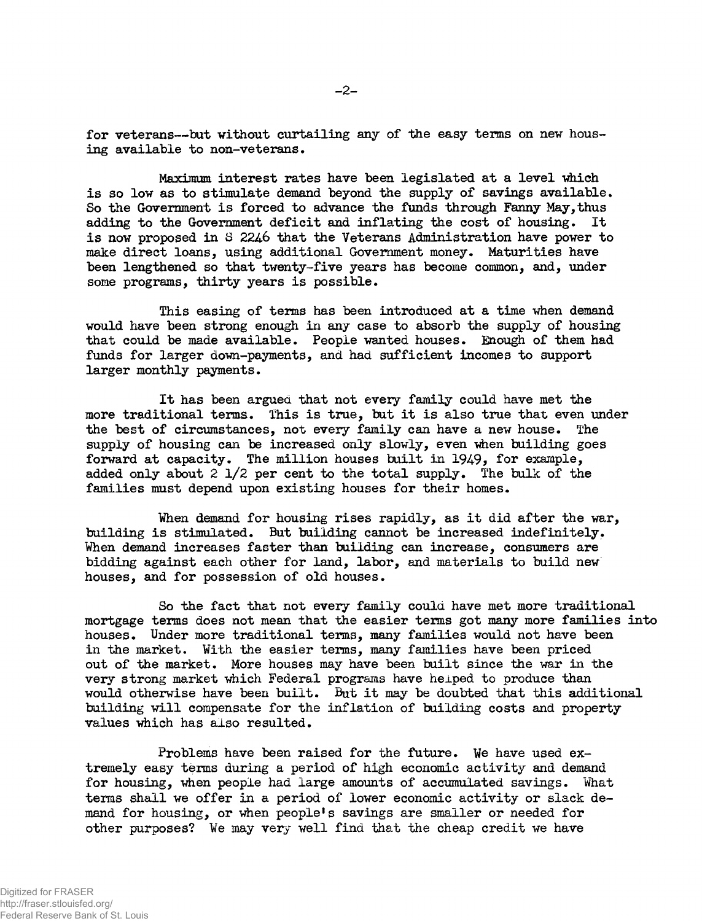for veterans—but without curtailing any of the easy terms on new housing available to non-veterans.

Maximum interest rates have been legislated at a level which is so low as to stimulate demand beyond the supply of savings available . So the Government is forced to advance the funds through Fanny May,thus adding to the Government deficit and inflating the cost of housing. It is now proposed in S 2246 that the Veterans Administration have power to make direct loans, using additional Government money. Maturities have been lengthened so that twenty-five years has become common, and, under some programs, thirty years is possible.

This easing of terras has been introduced at a time when demand would have been strong enough in any case to absorb the supply of housing that could be made available. People wanted houses. Enough of them had funds for larger down-payments, and had sufficient incomes to support larger monthly payments.

It has been argued that not every family could have met the more traditional terms. This is true, but it is also true that even under the best of circumstances, not every family can have a new house. The supply of housing can be increased only slowly, even when building goes forward at capacity. The million houses built in *19A9,* for example, added only about  $2 \frac{1}{2}$  per cent to the total supply. The bulk of the families must depend upon existing houses for their homes.

When demand for housing rises rapidly, as it did after the war, building is stimulated. But building cannot be increased indefinitely. When demand increases faster than building can increase, consumers are bidding against each other for land, labor, and materials to build new houses, and for possession of old houses.

So the fact that not every family could have met more traditional mortgage terms does not mean that the easier terms got many more families into houses. Under more traditional terms, many families would not have been in the market. With the easier terras, many families have been priced out of the market. More houses may have been built since the war in the very strong market which Federal programs have helped to produce than would otherwise have been built. But it may be doubted that this additional building will compensate for the inflation of building costs and property values which has also resulted.

Problems have been raised for the future. We have used extremely easy terms during a period of high economic activity and demand for housing, when people had large amounts of accumulated savings. What terms shall we offer in a period of lower economic activity or slack demand for housing, or when people's savings are smaller or needed for other purposes? We may very well find that the cheap credit we have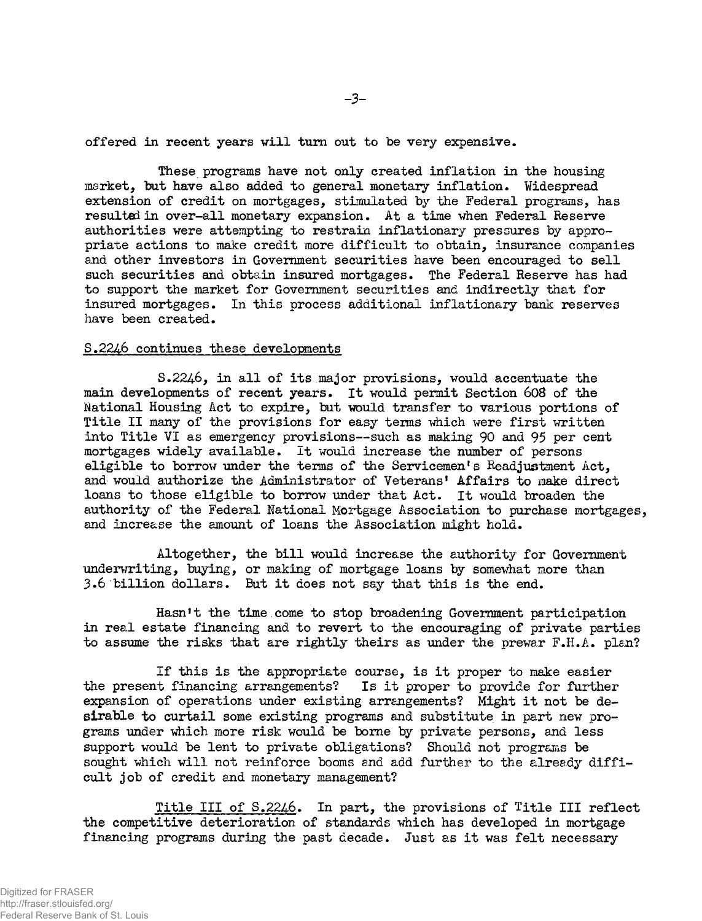offered in recent years will turn out to be very expensive.

These programs have not only created inflation in the housing market, but have also added to general monetary inflation. Widespread extension of credit on mortgages, stimulated by the Federal programs, has resulted in over-all monetary expansion. At a time when Federal Reserve authorities were attempting to restrain inflationary pressures by appropriate actions to make credit more difficult to obtain, insurance companies and other investors in Government securities have been encouraged to sell such securities and obtain insured mortgages. The Federal Reserve has had to support the market for Government securities and indirectly that for insured mortgages. In this process additional inflationary bank reserves have been created.

## S.2246 continues these developments

S.2246, in all of its major provisions, would accentuate the main developments of recent years. It would permit Section 608 of the National Housing Act to expire, but would transfer to various portions of Title II many of the provisions for easy terms which were first written into Title VI as emergency provisions—such as making 90 and 95 per cent mortgages widely available. It would increase the number of persons eligible to borrow under the terms of the Servicemen's Readjustment Act, and would authorize the Administrator of Veterans' Affairs to make direct loans to those eligible to borrow under that Act. It would broaden the authority of the Federal National Mortgage Association to purchase mortgages, and increase the amount of loans the Association might hold.

Altogether, the bill would increase the authority for Government underwriting, buying, or making of mortgage loans by somewhat more than 3.6 billion dollars. But it does not say that this is the end.

Hasn't the time come to stop broadening Government participation in real estate financing and to revert to the encouraging of private parties to assume the risks that are rightly theirs as under the prewar F.H.A. plan?

If this is the appropriate course, is it proper to make easier the present financing arrangements? Is it proper to provide for further expansion of operations under existing arrangements? Might it not be desirable to curtail some existing programs and substitute in part new programs under which more risk would be borne by private persons, and less support would be lent to private obligations? Should not programs be sought which will not reinforce booms and add further to the already difficult job of credit and monetary management?

Title III of S.2246. In part, the provisions of Title III reflect the competitive deterioration of standards which has developed in mortgage financing programs during the past decade. Just as it was felt necessary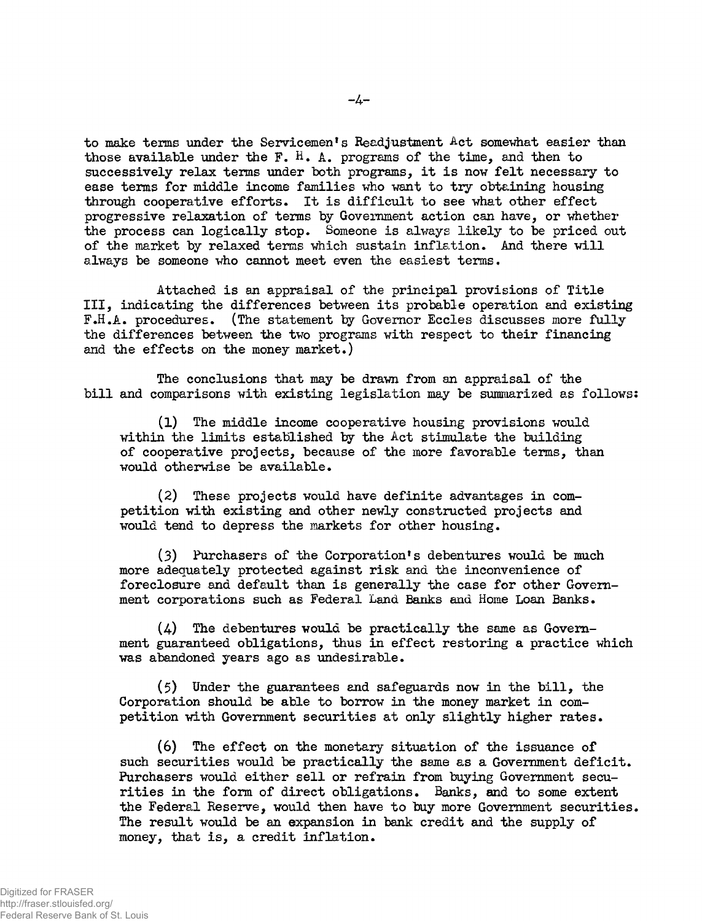to make terms under the Servicemen's Readjustment Act somewhat easier than those available under the F.  $H$ . A. programs of the time, and then to successively relax terms under both programs, it is now felt necessary to ease terms for middle income families who want to try obtaining housing through cooperative efforts. It is difficult to see what other effect progressive relaxation of terms by Government action can have, or whether the process can logically stop. Someone is always likely to be priced out of the market by relaxed terms which sustain inflation. And there will always be someone who cannot meet even the easiest terms.

Attached is an appraisal of the principal provisions of Title III, indicating the differences between its probable operation and existing F.H.A. procedures. (The statement by Governor Eccles discusses more fully the differences between the two programs with respect to their financing and the effects on the money market.)

The conclusions that may be drawn from an appraisal of the bill and comparisons with existing legislation may be summarized as follows:

(1) The middle income cooperative housing provisions would within the limits established by the Act stimulate the building of cooperative projects, because of the more favorable terms, than would otherwise be available.

(2) These projects would have definite advantages in competition with existing and other newly constructed projects and would tend to depress the markets for other housing.

(3) Purchasers of the Corporation's debentures would be much more adequately protected against risk and the inconvenience of foreclosure ana default than is generally the case for other Government corporations such as Federal Land Banks and Home Loan Banks.

(4) The debentures would be practically the same as Government guaranteed obligations, thus in effect restoring a practice which was abandoned years ago as undesirable.

(5) Under the guarantees and safeguards now in the bill, the Corporation should be able to borrow in the money market in competition with Government securities at only slightly higher rates.

(6) The effect on the monetary situation of the issuance of such securities would be practically the same as a Government deficit. Purchasers would either sell or refrain from buying Government securities in the form of direct obligations. Banks, and to some extent the Federal Reserve, would then have to buy more Government securities. The result would be an expansion in bank credit and the supply of money, that is, a credit inflation.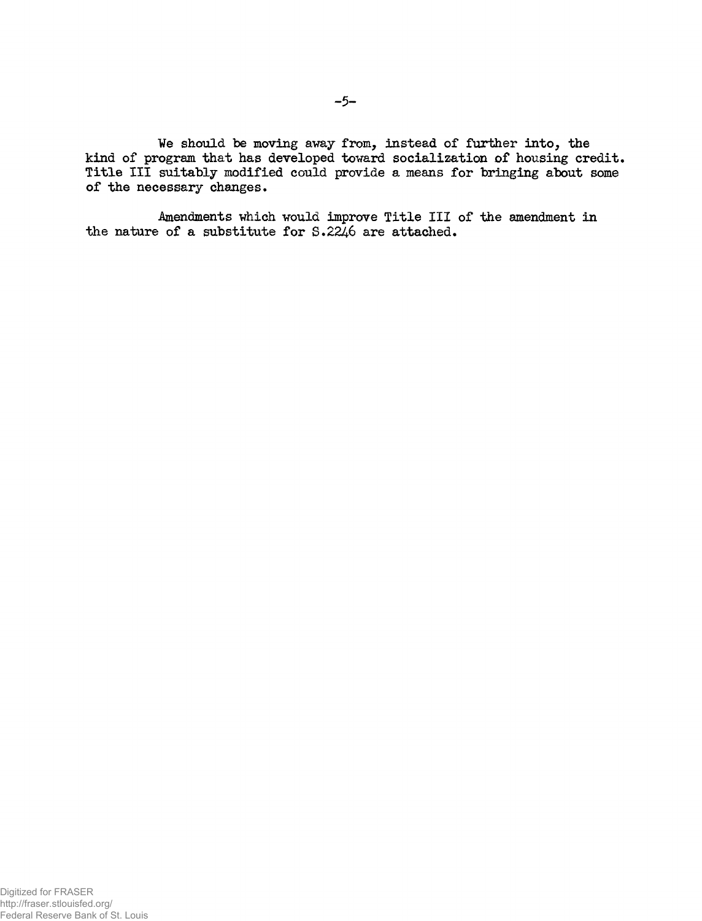We should be moving away from, instead of further into, the kind of program that has developed toward socialization of housing credit. Title III suitably modified could provide a means for bringing about some of the necessary changes.

Amendments which would improve Title III of the amendment in the nature of a substitute for S.2246 are attached.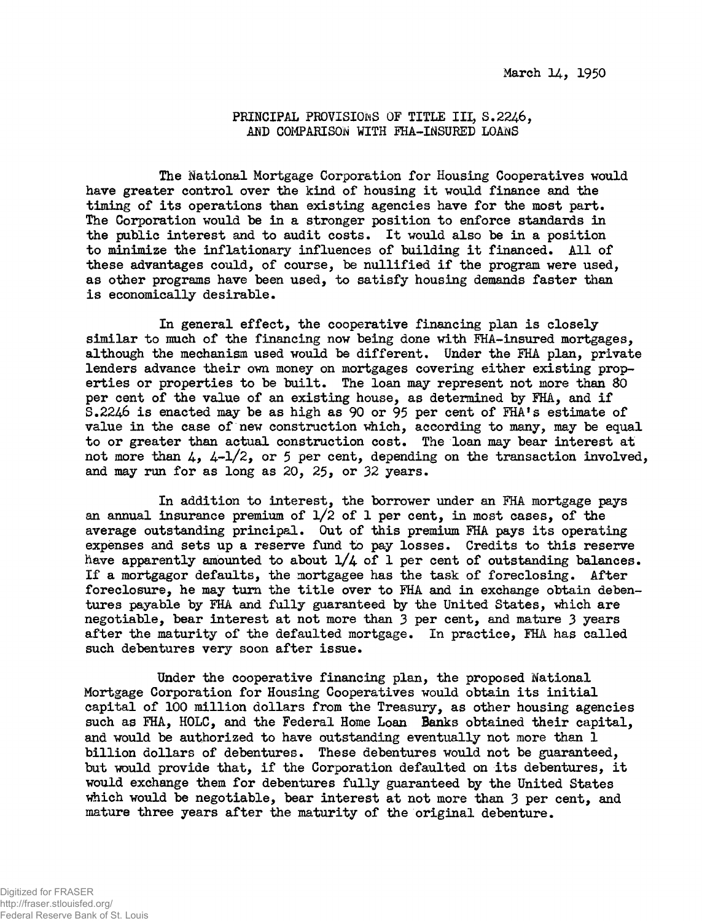## PRINCIPAL PROVISIONS OF TITLE III, S.2246, AND COMPARISON WITH FHA-INSURED LOANS

The National Mortgage Corporation for Housing Cooperatives would have greater control over the kind of housing it would finance and the timing of its operations than existing agencies have for the most part. The Corporation would be in a stronger position to enforce standards in the public interest and to audit costs. It would also be in a position to minimize the inflationary influences of building it financed. All of these advantages could, of course, be nullified if the program were used, as other programs have been used, to satisfy housing demands faster than is economically desirable.

In general effect, the cooperative financing plan is closely similar to much of the financing now being done with FHA-insured mortgages, although the mechanism used would be different. Under the FHA plan, private lenders advance their own money on mortgages covering either existing properties or properties to be built. The loan may represent not more than 80 per cent of the value of an existing house, as determined by FHA, and if S.2246 is enacted may be as high as 90 or 95 per cent of FHAfs estimate of value in the case of new construction which, according to many, may be equal to or greater than actual construction cost. The loan may bear interest at not more than  $4, 4-1/2$ , or 5 per cent, depending on the transaction involved, and may run for as long as 20, 25, or 32 years.

In addition to interest, the borrower under an FHA mortgage pays an annual insurance premium of  $1/2$  of 1 per cent, in most cases, of the average outstanding principal. Out of this premium FHA pays its operating expenses and sets up a reserve fund to pay losses. Credits to this reserve have apparently amounted to about l/4 of 1 per cent of outstanding balances. If a mortgagor defaults, the mortgagee has the task of foreclosing. After foreclosure, he may turn the title over to FHA and in exchange obtain debentures payable by FHA and fully guaranteed by the United States, which are negotiable, bear interest at not more than 3 per cent, and mature 3 years after the maturity of the defaulted mortgage. In practice, FHA has called such debentures very soon after issue.

Under the cooperative financing plan, the proposed National Mortgage Corporation for Housing Cooperatives would obtain its initial capital of 100 million dollars from the Treasury, as other housing agencies such as FHA, H0LC, and the Federal Home Loan Banks obtained their capital, and would be authorized to have outstanding eventually not more than 1 billion dollars of debentures. These debentures would not be guaranteed, but would provide that, if the Corporation defaulted on its debentures, it would exchange them for debentures fully guaranteed by the United States which would be negotiable, bear interest at not more than 3 per cent, and mature three years after the maturity of the original debenture.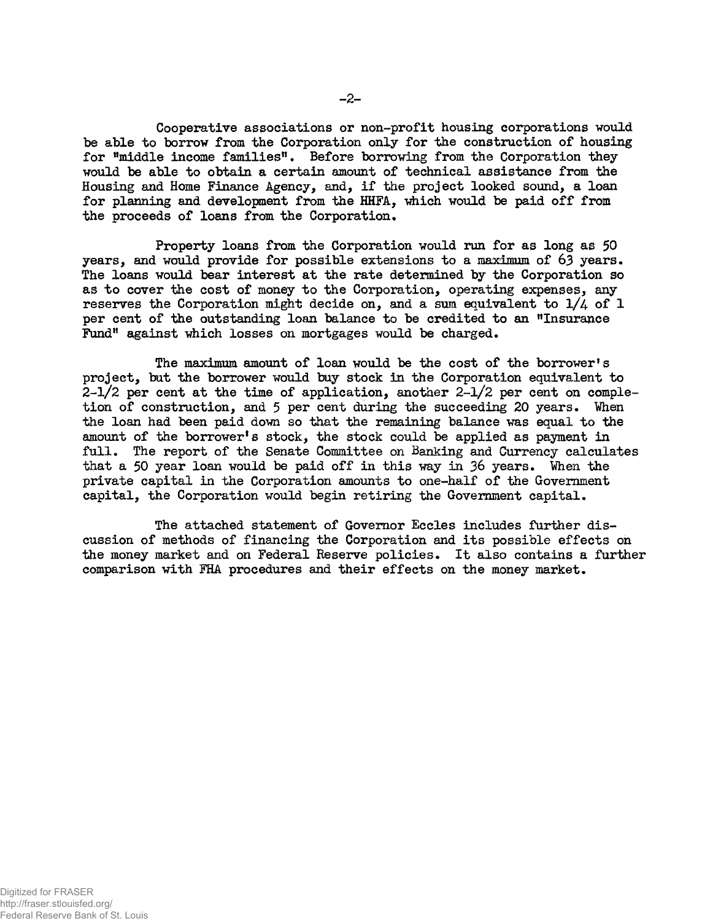Cooperative associations or non-profit housing corporations would be able to borrow from the Corporation only for the construction of housing for "middle income families". Before borrowing from the Corporation they would be able to obtain a certain amount of technical assistance from the Housing and Home Finance Agency, and, if the project looked sound, a loan for planning and development from the HHFA, which would be paid off from the proceeds of loans from the Corporation,

Property loans from the Corporation would run for as long as 50 years, and would provide for possible extensions to a maximum of 63 years. The loans would bear interest at the rate determined by the Corporation so as to cover the cost of money to the Corporation, operating expenses, any reserves the Corporation might decide on, and a sum equivalent to  $1/4$  of 1 per cent of the outstanding loan balance to be credited to an "Insurance Fund" against which losses on mortgages would be charged.

The maximum amount of loan would be the cost of the borrower's project, but the borrower would buy stock in the Corporation equivalent to 2-1/2 per cent at the time of application, another 2-1/2 per cent on completion of construction, and 5 per cent during the succeeding 20 years. When the loan had been paid down so that the remaining balance was equal to the amount of the borrower's stock, the stock could be applied as payment in full. The report of the Senate Committee on Banking and Currency calculates that a 50 year loan would be paid off in this way in 36 years. "When the private capital in the Corporation amounts to one-half of the Government capital, the Corporation would begin retiring the Government capital.

The attached statement of Governor Eccles includes further discussion of methods of financing the Corporation and its possible effects on the money market and on Federal Reserve policies. It also contains a further comparison with FHA procedures and their effects on the money market.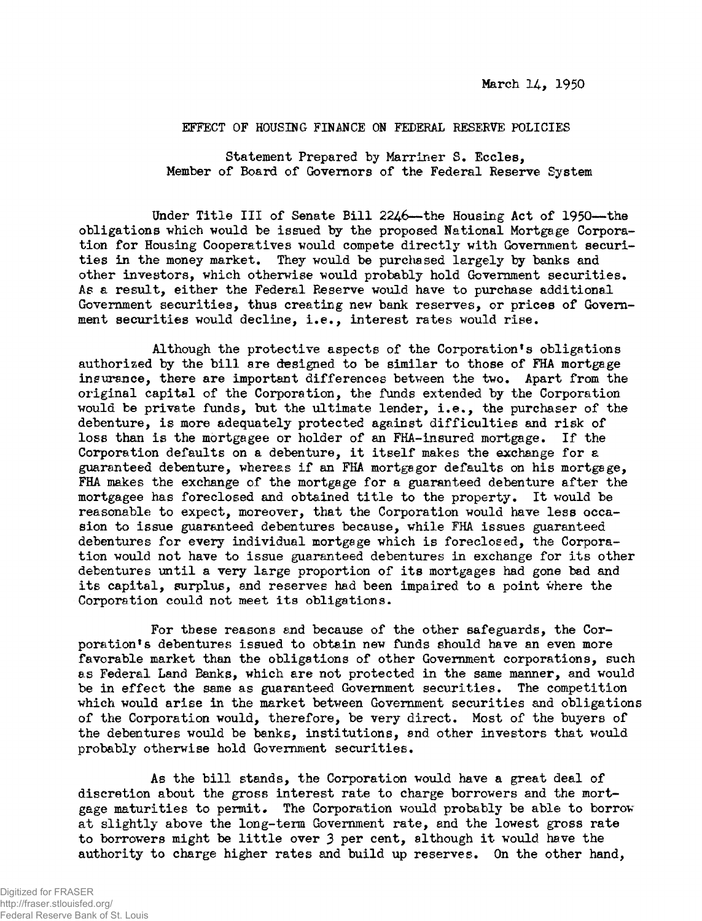## EFFECT OF HOUSING FINANCE ON FEDERAL RESERVE POLICIES

Statement Prepared by Marriner S. Eccles, Member of Board of Governors of the Federal Reserve System

Under Title III of Senate Bill 2246—the Housing Act of 1950—the obligations vhich would be issued by the proposed National Mortgage Corporation for Housing Cooperatives would compete directly with Government securities in the money market. They would be purchased largely by banks and other investors, which otherwise would probably hold Government securities. As a result, either the Federal Reserve would have to purchase additional Government securities, thus creating new bank reserves, or prices of Government securities would decline, i.e., interest rates would rise.

Although the protective aspects of the Corporation's obligations authorized by the bill are designed to be similar to those of FHA mortgage insurance, there are important differences between the two. Apart from the original capital of the Corporation, the funds extended by the Corporation would be private funds, but the ultimate lender, i.e., the purchaser of the debenture, is more adequately protected against difficulties and risk of loss than is the mortgagee or holder of an FHA-insured mortgage. If the Corporation defaults on a debenture, it itself makes the exchange for a guaranteed debenture, whereas if an FHA mortgagor defaults on his mortgage, FHA makes the exchange of the mortgage for a guaranteed debenture after the mortgagee has foreclosed and obtained title to the property. It would be reasonable to expect, moreover, that the Corporation would have less occasion to issue guaranteed debentures because, while FHA issues guaranteed debentures for every individual mortgage which is foreclosed, the Corporation would not have to issue guaranteed debentures in exchange for its other debentures until a very large proportion of its mortgages had gone bad and its capital, surplus, and reserves had been impaired to a point where the Corporation could not meet its obligations.

For these reasons and because of the other safeguards, the Corporation's debentures issued to obtain new funds should have an even more favorable market than the obligations of other Government corporations, such as Federal Land Banks, which are not protected in the same manner, and would be in effect the same as guaranteed Government securities. The competition which would arise in the market between Government securities and obligations of the Corporation would, therefore, be very direct. Most of the buyers of the debentures would be banks, institutions, and other investors that would probably otherwise hold Government securities.

As the bill stands, the Corporation would have a great deal of discretion about the gross interest rate to charge borrowers and the mortgage maturities to permit. The Corporation would probably be able to borrow at slightly above the long-term Government rate, and the lowest gross rate to borrowers might be little over 3 per cent, although it would have the authority to charge higher rates and build up reserves. On the other hand,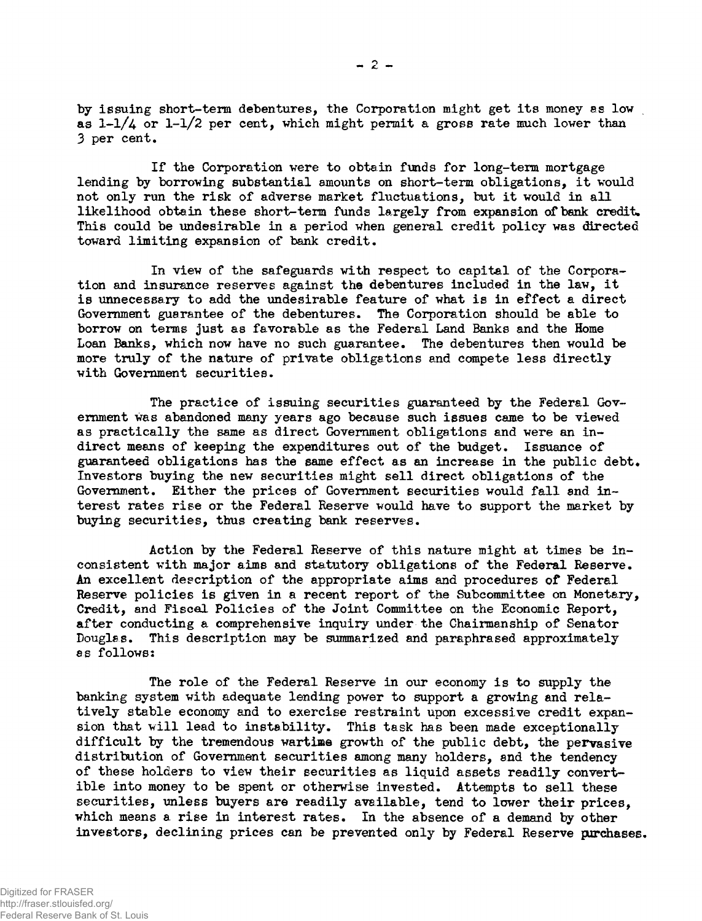by issuing short-term debentures, the Corporation might get its money as low as  $1-1/4$  or  $1-1/2$  per cent, which might permit a gross rate much lower than 3 per cent.

If the Corporation were to obtain fmds for long-term mortgage lending by borrowing substantial amounts on short-term obligations, it would not only run the risk of adverse market fluctuations, but it would in all likelihood obtain these short-term funds largely from expansion of bank credit. This could be undesirable in a period when general credit policy was directed toward limiting expansion of bank credit.

In view of the safeguards with respect to capital of the Corporation and insurance reserves against the debentures included in the law, it is unnecessary to add the undesirable feature of what is in effect a direct Government guarantee of the debentures. The Corporation should be able to borrow on terms just as favorable as the Federal Land Banks and the Home Loan Banks, which now have no such guarantee. The debentures then would be more truly of the nature of private obligations and compete less directly with Government securities.

The practice of issuing securities guaranteed by the Federal Government was abandoned many years ago because such issues came to be viewed as practically the same as direct Government obligations and were an indirect means of keeping the expenditures out of the budget. Issuance of guaranteed obligations has the same effect as an increase in the public debt. Investors buying the new securities might sell direct obligations of the Government. Either the prices of Government securities would fall and interest rates rise or the Federal Reserve would have to support the market by buying securities, thus creating bank reserves.

Action by the Federal Reserve of this nature might at times be inconsistent with major aims and statutory obligations of the Federal Reserve. An excellent description of the appropriate aims and procedures of Federal Reserve policies is given in a recent report of the Subcommittee on Monetary, Credit, and Fiscal Policies of the Joint Committee on the Economic Report, after conducting a comprehensive inquiry under the Chairmanship of Senator Douglas. This description may be summarized and paraphrased approximately as follows:

The role of the Federal Reserve in our economy is to supply the banking system with adequate lending power to support a growing and relatively stable economy and to exercise restraint upon excessive credit expansion that will lead to instability. This task has been made exceptionally difficult by the tremendous wartime growth of the public debt, the pervasive distribution of Government securities among many holders, and the tendency of these holders to view their securities as liquid assets readily convertible into money to be spent or otherwise invested. Attempts to sell these securities, unless buyers are readily available, tend to lower their prices, which means a rise in interest rates. In the absence of a demand by other investors, declining prices can be prevented only by Federal Reserve purchases.

 $-2-$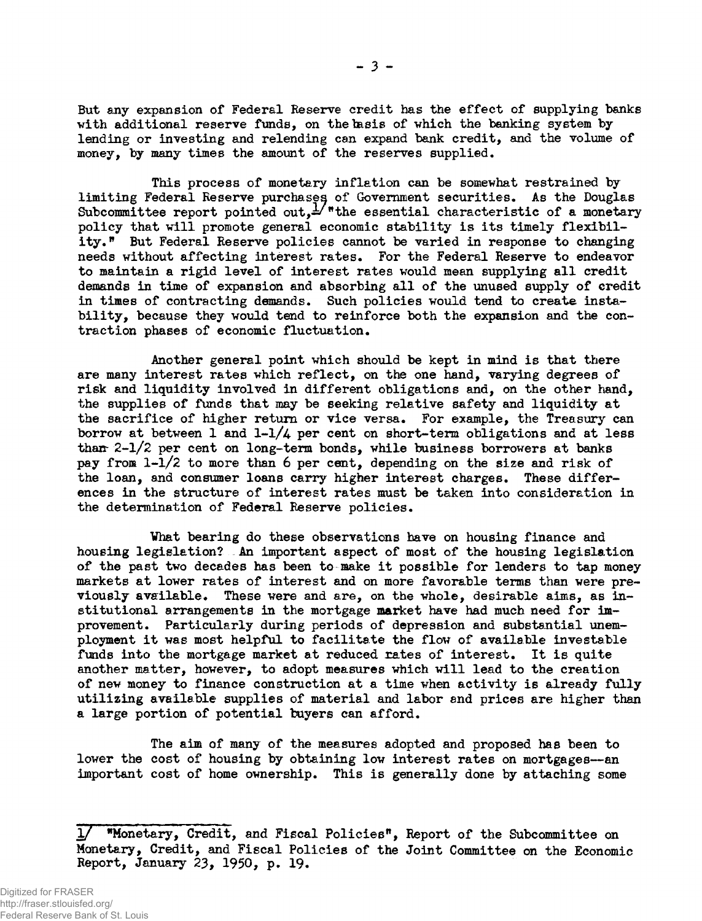But any expansion of Federal Reserve credit has the effect of supplying banks with additional reserve funds, on the basis of which the banking system by lending or investing and relending can expand bank credit, and the volume of money, by many times the amount of the reserves supplied.

This process of monetary inflation can be somewhat restrained by limiting Federal Reserve purchases of Government securities. As the Douglas Subcommittee report pointed out,  $\frac{1}{n}$  "the essential characteristic of a monetary policy that will promote general economic stability is its timely flexibility. " But Federal Reserve policies cannot be varied in response to changing needs without affecting interest rates. For the Federal Reserve to endeavor to maintain a rigid level of interest rates would mean supplying all credit demands in time of expansion and absorbing ail of the unused supply of credit in times of contracting demands. Such policies would tend to create instability, because they would tend to reinforce both the expansion and the contraction phases of economic fluctuation.

Another general point which should be kept in mind is that there are many interest rates which reflect, on the one hand, varying degrees of risk and liquidity involved in different obligations and, on the other hand, the supplies of funds that may be seeking relative safety and liquidity at the sacrifice of higher return or vice versa. For example, the Treasury can borrow at between 1 and  $1-1/4$  per cent on short-term obligations and at less than  $2-1/2$  per cent on long-term bonds, while business borrowers at banks pay from  $1-1/2$  to more than 6 per cent, depending on the size and risk of the loan, and consumer loans carry higher interest charges. These differences in the structure of interest rates must be taken into consideration in the determination of Federal Reserve policies.

What bearing do these observations have on housing finance and housing legislation? An important aspect of most of the housing legislation of the past two decades has been to make it possible for lenders to tap money markets at lower rates of interest and on more favorable terms than were previously available. These were and are, on the whole, desirable aims, as institutional arrangements in the mortgage market have had much need for improvement. Particularly during periods of depression and substantial unemployment it was most helpful to facilitate the flow of available investable funds into the mortgage market at reduced rates of interest. It is quite another matter, however, to adopt measures which will lead to the creation of new money to finance construction at a time when activity is already fully utilizing available supplies of material and labor and prices are higher than a large portion of potential buyers can afford.

The aim of many of the measures adopted and proposed has been to lower the cost of housing by obtaining low interest rates on mortgages—an important cost of home ownership. This is generally done by attaching some

T/ "Monetary, Credit, and Fiscal Policies", Report of the Subcommittee on Monetary, Credit, and Fiscal Policies of the Joint Committee on the Economic Report, January 23, 1950, p. 19.